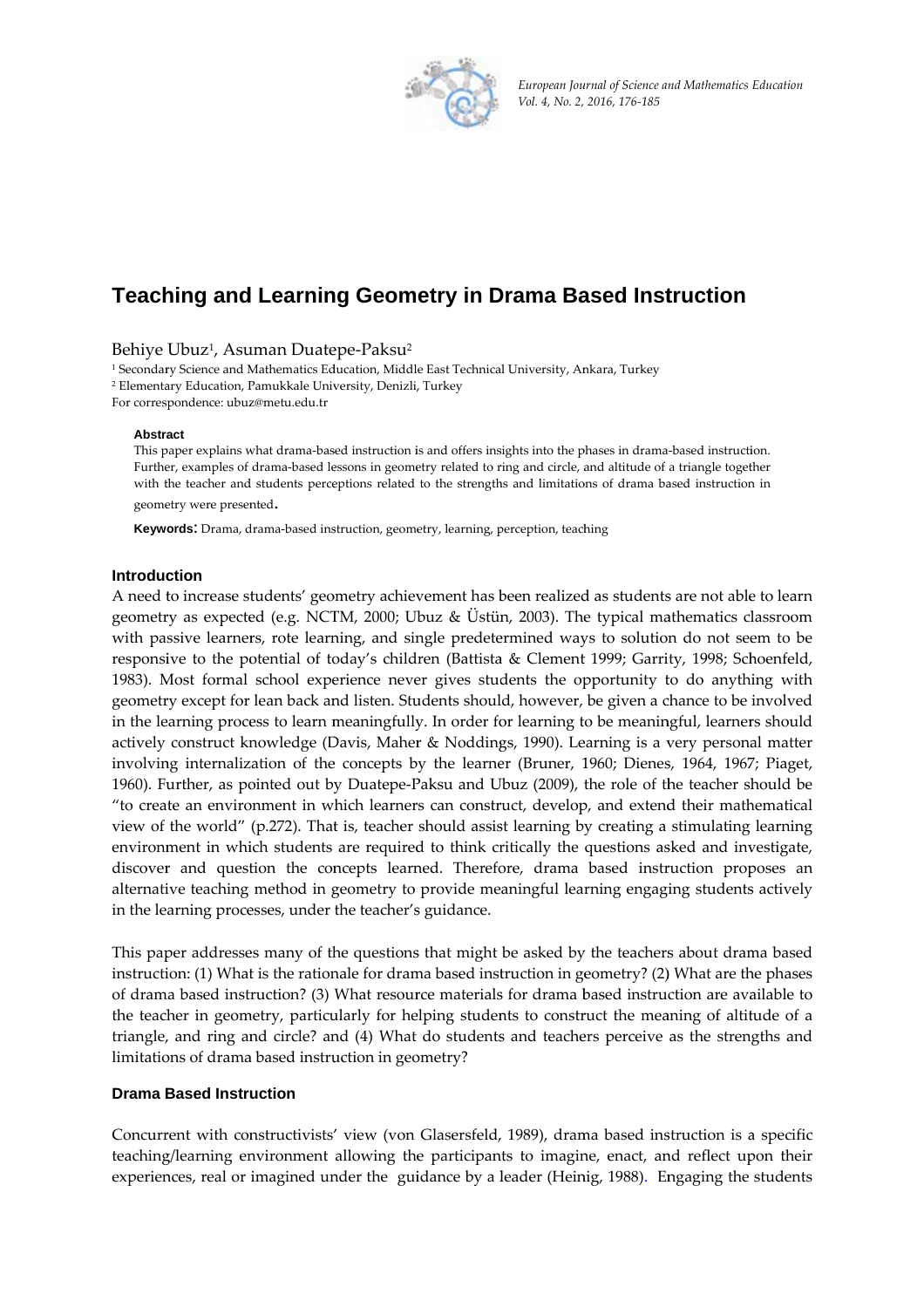

*European Jou urnal of Science a nd Mathematics Education Vol. 4, No. 2, 2016, 176‐185*

# **Teaching and Learning Geometry in Drama Based Instruction**

Behiye Ubuz<sup>ı</sup>, Asuman Duatepe-Paksu<sup>2</sup>

<sup>1</sup> Secondary Science and Mathematics Education, Middle East Technical University, Ankara, Turkey <sup>2</sup> Elementary Education, Pamukkale University, Denizli, Turkey For corres pondence: ubuz z@metu.edu.tr

#### Abstract

This paper explains what drama-based instruction is and offers insights into the phases in drama-based instruction. Further, examples of drama-based lessons in geometry related to ring and circle, and altitude of a triangle together with the teacher and students perceptions related to the strengths and limitations of drama based instruction in geometry were presented.

Keywords: Drama, drama-based instruction, geometry, learning, perception, teaching

## **Introduction**

A need to increase students' geometry achievement has been realized as students are not able to learn geometry as expected (e.g. NCTM, 2000; Ubuz & Ustün, 2003). The typical mathematics classroom with passive learners, rote learning, and single predetermined ways to solution do not seem to be responsive to the potential of today's children (Battista & Clement 1999; Garrity, 1998; Schoenfeld, 1983). Most formal school experience never gives students the opportunity to do anything with geometry except for lean back and listen. Students should, however, be given a chance to be involved in the learning process to learn meaningfully. In order for learning to be meaningful, learners should actively construct knowledge (Davis, Maher & Noddings, 1990). Learning is a very personal matter involving internalization of the concepts by the learner (Bruner, 1960; Dienes, 1964, 1967; Piaget, 1960). Further, as pointed out by Duatepe-Paksu and Ubuz (2009), the role of the teacher should be "to create an environment in which learners can construct, develop, and extend their mathematical view of the world" (p.272). That is, teacher should assist learning by creating a stimulating learning environment in which students are required to think critically the questions asked and investigate, discover and question the concepts learned. Therefore, drama based instruction proposes an alternative teaching method in geometry to provide meaningful learning engaging students actively in the le arning proce esses, under the teacher's s guidance.

This paper addresses many of the questions that might be asked by the teachers about drama based instruction: (1) What is the rationale for drama based instruction in geometry? (2) What are the phases of drama based instruction? (3) What resource materials for drama based instruction are available to the teacher in geometry, particularly for helping students to construct the meaning of altitude of a triangle, and ring and circle? and (4) What do students and teachers perceive as the strengths and limitations of drama based instruction in geometry?

# **Drama Based Instruction**

Concurrent with constructivists' view (von Glasersfeld, 1989), drama based instruction is a specific teaching/learning environment allowing the participants to imagine, enact, and reflect upon their experiences, real or imagined under the guidance by a leader (Heinig, 1988). Engaging the students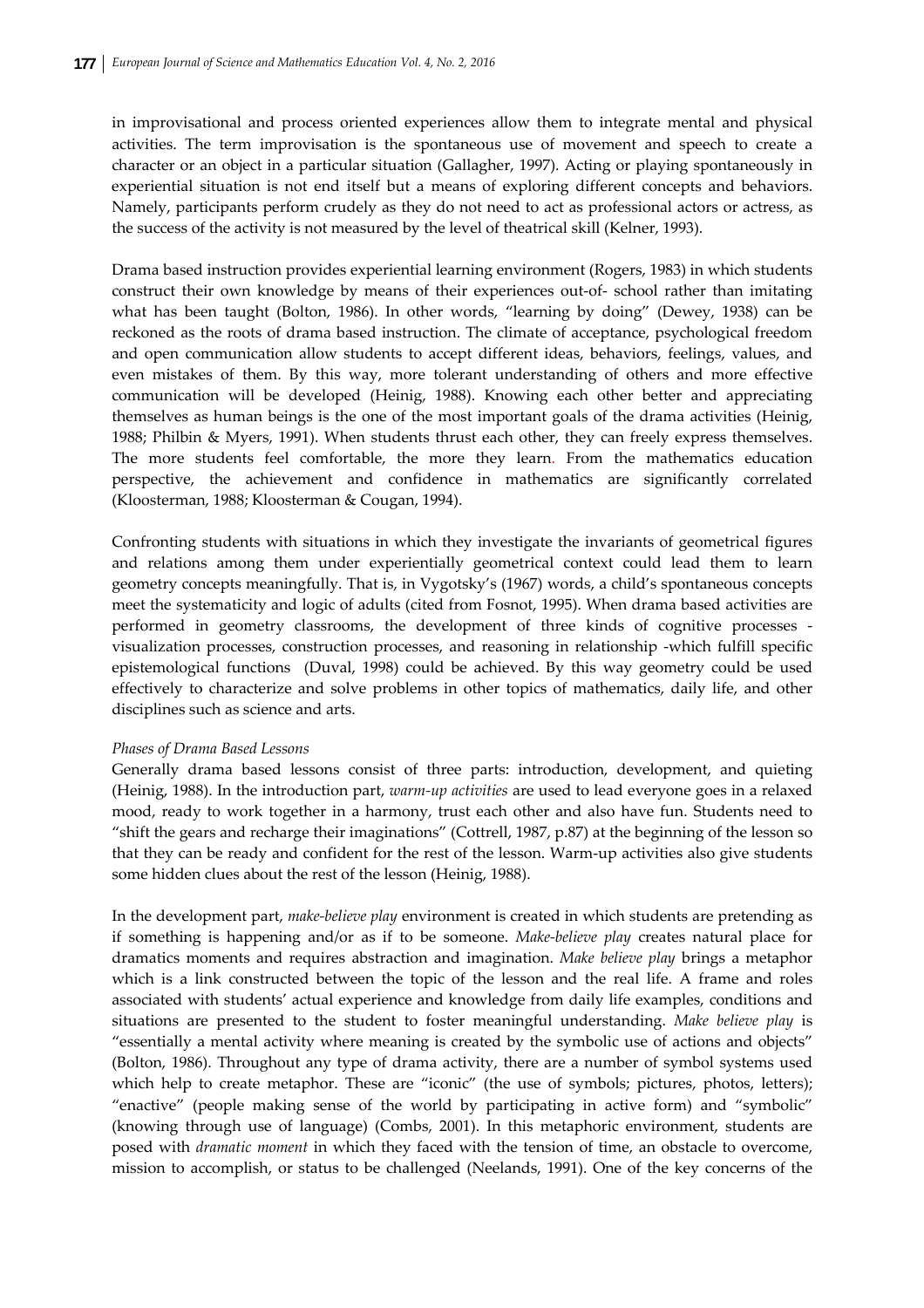in improvisational and process oriented experiences allow them to integrate mental and physical activities. The term improvisation is the spontaneous use of movement and speech to create a character or an object in a particular situation (Gallagher, 1997). Acting or playing spontaneously in experiential situation is not end itself but a means of exploring different concepts and behaviors. Namely, participants perform crudely as they do not need to act as professional actors or actress, as the success of the activity is not measured by the level of theatrical skill (Kelner, 1993).

Drama based instruction provides experiential learning environment (Rogers, 1983) in which students construct their own knowledge by means of their experiences out‐of‐ school rather than imitating what has been taught (Bolton, 1986). In other words, "learning by doing" (Dewey, 1938) can be reckoned as the roots of drama based instruction. The climate of acceptance, psychological freedom and open communication allow students to accept different ideas, behaviors, feelings, values, and even mistakes of them. By this way, more tolerant understanding of others and more effective communication will be developed (Heinig, 1988). Knowing each other better and appreciating themselves as human beings is the one of the most important goals of the drama activities (Heinig, 1988; Philbin & Myers, 1991). When students thrust each other, they can freely express themselves. The more students feel comfortable, the more they learn. From the mathematics education perspective, the achievement and confidence in mathematics are significantly correlated (Kloosterman, 1988; Kloosterman & Cougan, 1994).

Confronting students with situations in which they investigate the invariants of geometrical figures and relations among them under experientially geometrical context could lead them to learn geometry concepts meaningfully. That is, in Vygotsky's (1967) words, a child's spontaneous concepts meet the systematicity and logic of adults (cited from Fosnot, 1995). When drama based activities are performed in geometry classrooms, the development of three kinds of cognitive processes ‐ visualization processes, construction processes, and reasoning in relationship ‐which fulfill specific epistemological functions (Duval, 1998) could be achieved. By this way geometry could be used effectively to characterize and solve problems in other topics of mathematics, daily life, and other disciplines such as science and arts.

## *Phases of Drama Based Lessons*

Generally drama based lessons consist of three parts: introduction, development, and quieting (Heinig, 1988). In the introduction part, *warm‐up activities* are used to lead everyone goes in a relaxed mood, ready to work together in a harmony, trust each other and also have fun. Students need to "shift the gears and recharge their imaginations" (Cottrell, 1987, p.87) at the beginning of the lesson so that they can be ready and confident for the rest of the lesson. Warm‐up activities also give students some hidden clues about the rest of the lesson (Heinig, 1988).

In the development part, *make‐believe play* environment is created in which students are pretending as if something is happening and/or as if to be someone. *Make-believe play* creates natural place for dramatics moments and requires abstraction and imagination. *Make believe play* brings a metaphor which is a link constructed between the topic of the lesson and the real life. A frame and roles associated with students' actual experience and knowledge from daily life examples, conditions and situations are presented to the student to foster meaningful understanding. *Make believe play* is "essentially a mental activity where meaning is created by the symbolic use of actions and objects" (Bolton, 1986). Throughout any type of drama activity, there are a number of symbol systems used which help to create metaphor. These are "iconic" (the use of symbols; pictures, photos, letters); "enactive" (people making sense of the world by participating in active form) and "symbolic" (knowing through use of language) (Combs, 2001). In this metaphoric environment, students are posed with *dramatic moment* in which they faced with the tension of time, an obstacle to overcome, mission to accomplish, or status to be challenged (Neelands, 1991). One of the key concerns of the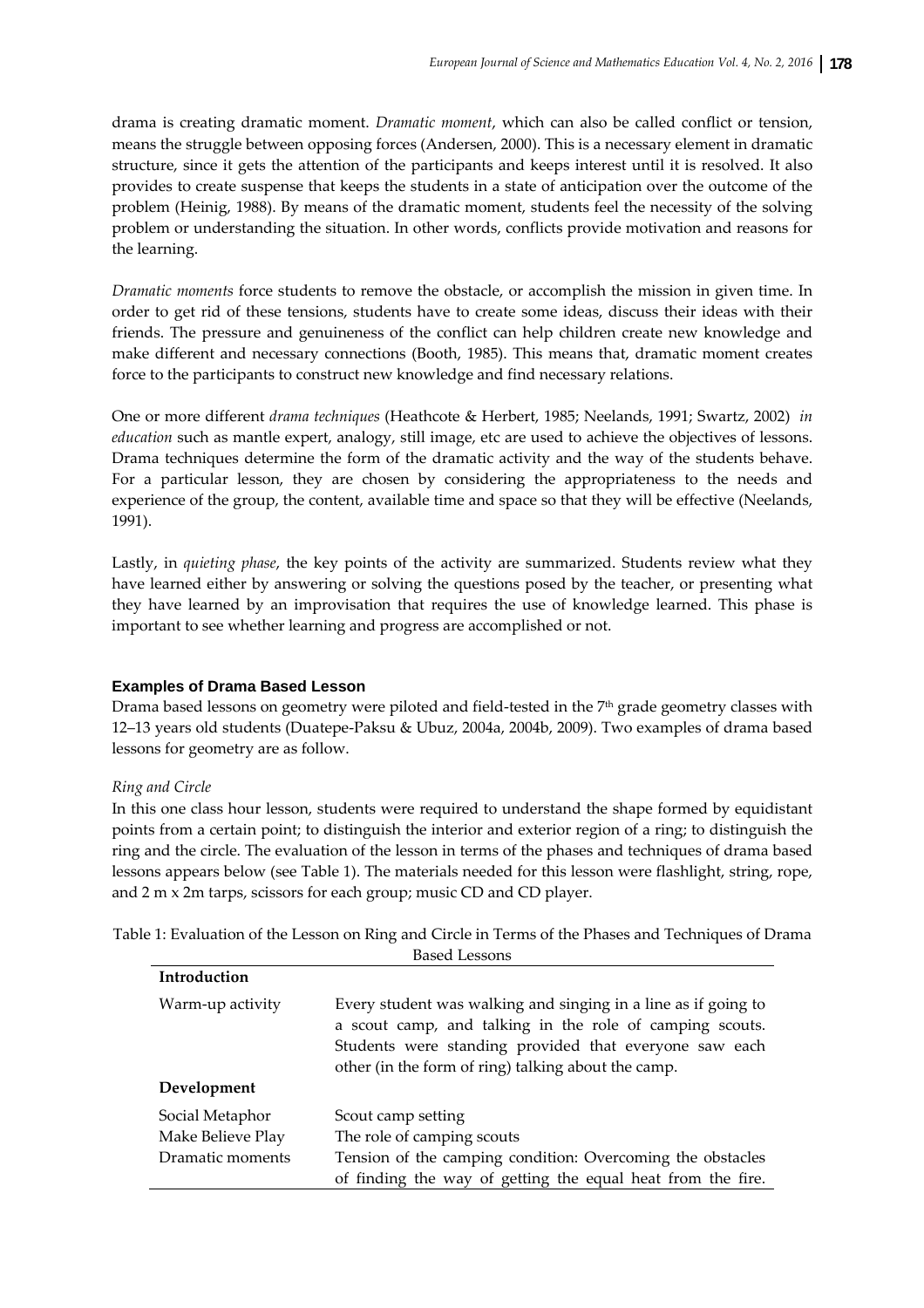drama is creating dramatic moment. *Dramatic moment*, which can also be called conflict or tension, means the struggle between opposing forces (Andersen, 2000). This is a necessary element in dramatic structure, since it gets the attention of the participants and keeps interest until it is resolved. It also provides to create suspense that keeps the students in a state of anticipation over the outcome of the problem (Heinig, 1988). By means of the dramatic moment, students feel the necessity of the solving problem or understanding the situation. In other words, conflicts provide motivation and reasons for the learning.

*Dramatic moments* force students to remove the obstacle, or accomplish the mission in given time. In order to get rid of these tensions, students have to create some ideas, discuss their ideas with their friends. The pressure and genuineness of the conflict can help children create new knowledge and make different and necessary connections (Booth, 1985). This means that, dramatic moment creates force to the participants to construct new knowledge and find necessary relations.

One or more different *drama techniques* (Heathcote & Herbert, 1985; Neelands, 1991; Swartz, 2002) *in education* such as mantle expert, analogy, still image, etc are used to achieve the objectives of lessons. Drama techniques determine the form of the dramatic activity and the way of the students behave. For a particular lesson, they are chosen by considering the appropriateness to the needs and experience of the group, the content, available time and space so that they will be effective (Neelands, 1991).

Lastly, in *quieting phase*, the key points of the activity are summarized. Students review what they have learned either by answering or solving the questions posed by the teacher, or presenting what they have learned by an improvisation that requires the use of knowledge learned. This phase is important to see whether learning and progress are accomplished or not.

## **Examples of Drama Based Lesson**

Drama based lessons on geometry were piloted and field-tested in the 7<sup>th</sup> grade geometry classes with 12–13 years old students (Duatepe‐Paksu & Ubuz, 2004a, 2004b, 2009). Two examples of drama based lessons for geometry are as follow.

## *Ring and Circle*

In this one class hour lesson, students were required to understand the shape formed by equidistant points from a certain point; to distinguish the interior and exterior region of a ring; to distinguish the ring and the circle. The evaluation of the lesson in terms of the phases and techniques of drama based lessons appears below (see Table 1). The materials needed for this lesson were flashlight, string, rope, and 2 m x 2m tarps, scissors for each group; music CD and CD player.

Table 1: Evaluation of the Lesson on Ring and Circle in Terms of the Phases and Techniques of Drama Based Lessons

| Introduction      |                                                                                                                                                                                                                                             |
|-------------------|---------------------------------------------------------------------------------------------------------------------------------------------------------------------------------------------------------------------------------------------|
| Warm-up activity  | Every student was walking and singing in a line as if going to<br>a scout camp, and talking in the role of camping scouts.<br>Students were standing provided that everyone saw each<br>other (in the form of ring) talking about the camp. |
| Development       |                                                                                                                                                                                                                                             |
| Social Metaphor   | Scout camp setting                                                                                                                                                                                                                          |
| Make Believe Play | The role of camping scouts                                                                                                                                                                                                                  |
| Dramatic moments  | Tension of the camping condition: Overcoming the obstacles<br>of finding the way of getting the equal heat from the fire.                                                                                                                   |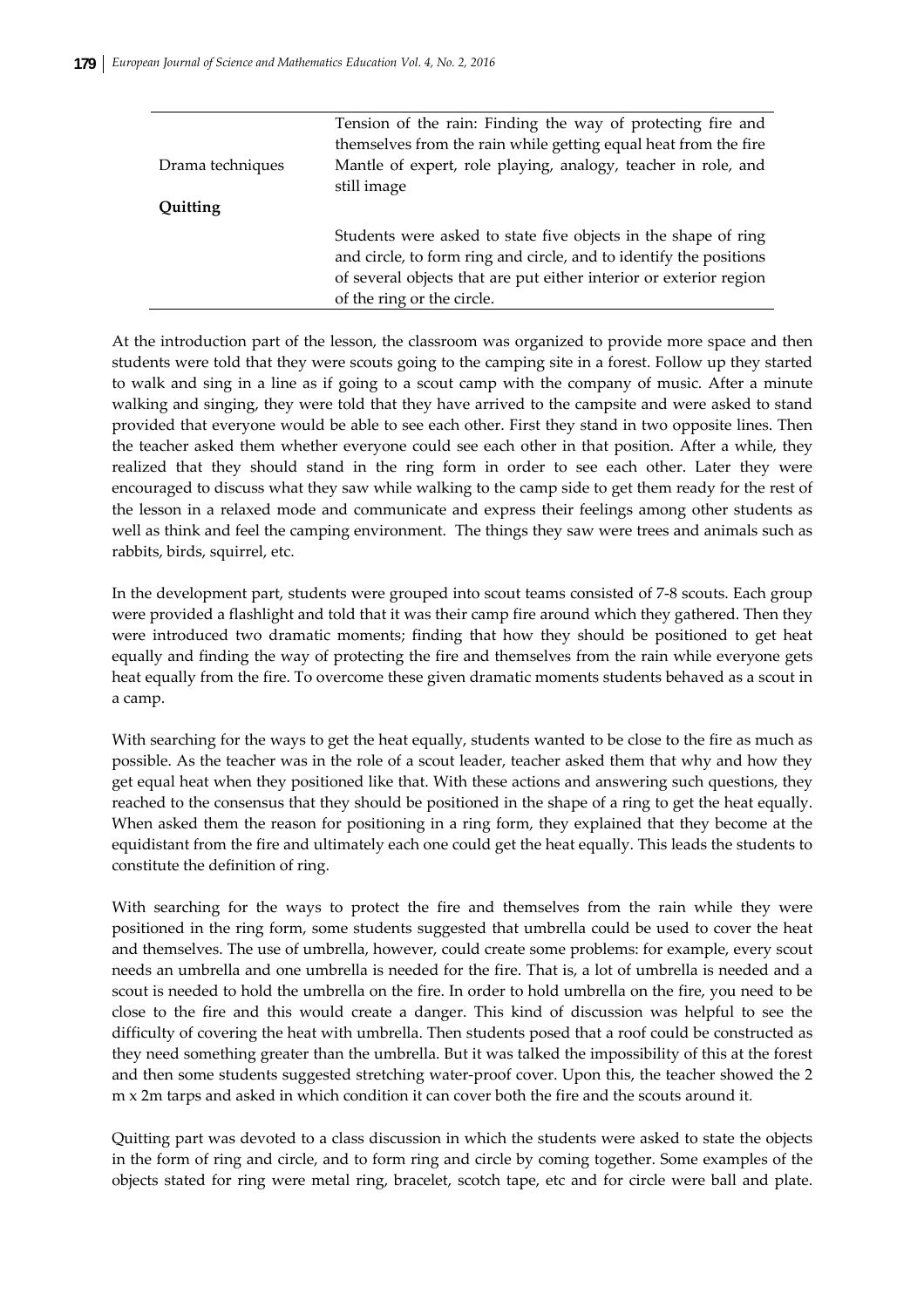|                  | Tension of the rain: Finding the way of protecting fire and        |
|------------------|--------------------------------------------------------------------|
|                  | themselves from the rain while getting equal heat from the fire    |
| Drama techniques | Mantle of expert, role playing, analogy, teacher in role, and      |
|                  | still image                                                        |
| Quitting         |                                                                    |
|                  | Students were asked to state five objects in the shape of ring     |
|                  | and circle, to form ring and circle, and to identify the positions |
|                  | of several objects that are put either interior or exterior region |
|                  | of the ring or the circle.                                         |

At the introduction part of the lesson, the classroom was organized to provide more space and then students were told that they were scouts going to the camping site in a forest. Follow up they started to walk and sing in a line as if going to a scout camp with the company of music. After a minute walking and singing, they were told that they have arrived to the campsite and were asked to stand provided that everyone would be able to see each other. First they stand in two opposite lines. Then the teacher asked them whether everyone could see each other in that position. After a while, they realized that they should stand in the ring form in order to see each other. Later they were encouraged to discuss what they saw while walking to the camp side to get them ready for the rest of the lesson in a relaxed mode and communicate and express their feelings among other students as well as think and feel the camping environment. The things they saw were trees and animals such as rabbits, birds, squirrel, etc.

In the development part, students were grouped into scout teams consisted of 7‐8 scouts. Each group were provided a flashlight and told that it was their camp fire around which they gathered. Then they were introduced two dramatic moments; finding that how they should be positioned to get heat equally and finding the way of protecting the fire and themselves from the rain while everyone gets heat equally from the fire. To overcome these given dramatic moments students behaved as a scout in a camp.

With searching for the ways to get the heat equally, students wanted to be close to the fire as much as possible. As the teacher was in the role of a scout leader, teacher asked them that why and how they get equal heat when they positioned like that. With these actions and answering such questions, they reached to the consensus that they should be positioned in the shape of a ring to get the heat equally. When asked them the reason for positioning in a ring form, they explained that they become at the equidistant from the fire and ultimately each one could get the heat equally. This leads the students to constitute the definition of ring.

With searching for the ways to protect the fire and themselves from the rain while they were positioned in the ring form, some students suggested that umbrella could be used to cover the heat and themselves. The use of umbrella, however, could create some problems: for example, every scout needs an umbrella and one umbrella is needed for the fire. That is, a lot of umbrella is needed and a scout is needed to hold the umbrella on the fire. In order to hold umbrella on the fire, you need to be close to the fire and this would create a danger. This kind of discussion was helpful to see the difficulty of covering the heat with umbrella. Then students posed that a roof could be constructed as they need something greater than the umbrella. But it was talked the impossibility of this at the forest and then some students suggested stretching water‐proof cover. Upon this, the teacher showed the 2 m x 2m tarps and asked in which condition it can cover both the fire and the scouts around it.

Quitting part was devoted to a class discussion in which the students were asked to state the objects in the form of ring and circle, and to form ring and circle by coming together. Some examples of the objects stated for ring were metal ring, bracelet, scotch tape, etc and for circle were ball and plate.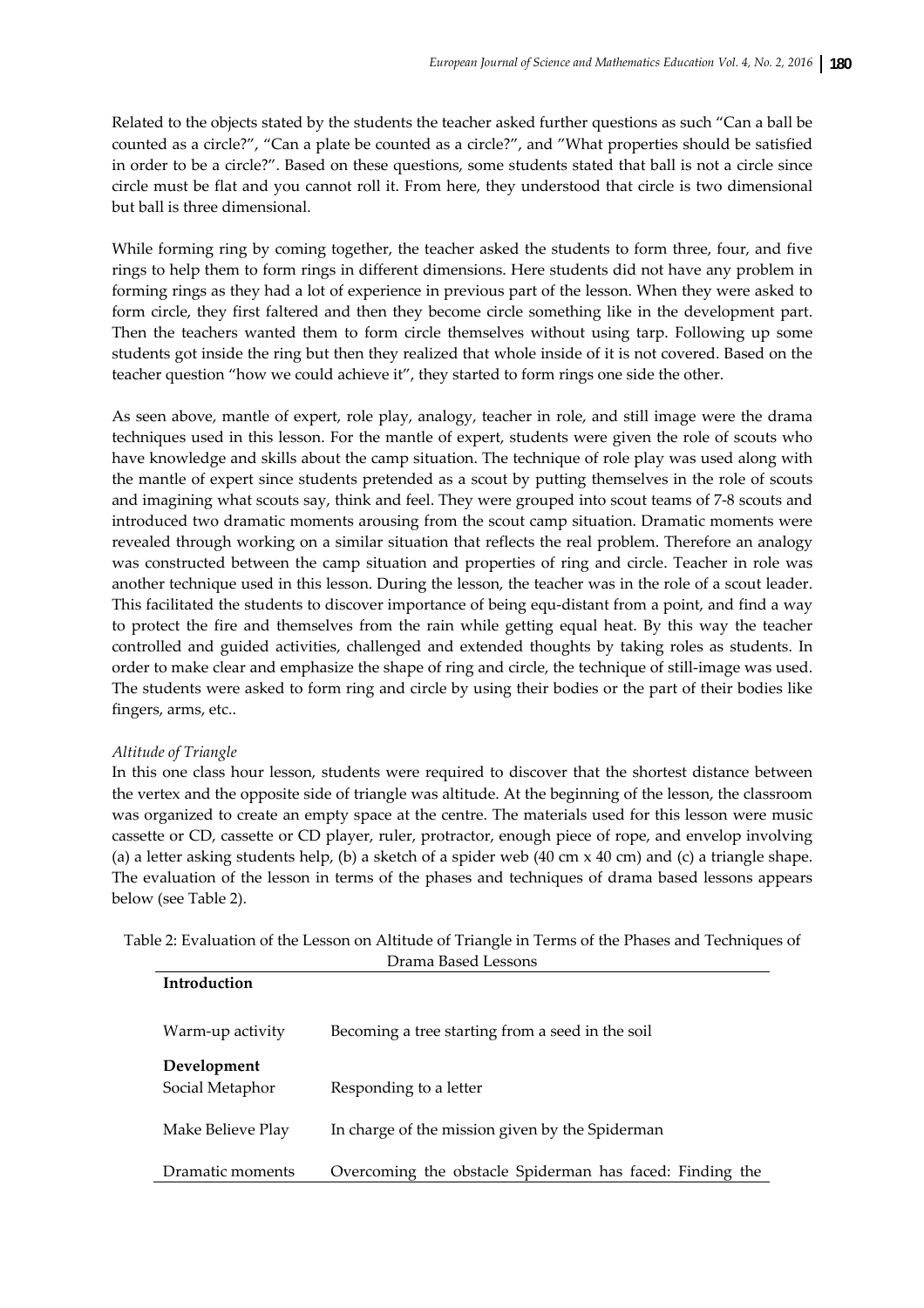Related to the objects stated by the students the teacher asked further questions as such "Can a ball be counted as a circle?", "Can a plate be counted as a circle?", and "What properties should be satisfied in order to be a circle?". Based on these questions, some students stated that ball is not a circle since circle must be flat and you cannot roll it. From here, they understood that circle is two dimensional but ball is three dimensional.

While forming ring by coming together, the teacher asked the students to form three, four, and five rings to help them to form rings in different dimensions. Here students did not have any problem in forming rings as they had a lot of experience in previous part of the lesson. When they were asked to form circle, they first faltered and then they become circle something like in the development part. Then the teachers wanted them to form circle themselves without using tarp. Following up some students got inside the ring but then they realized that whole inside of it is not covered. Based on the teacher question "how we could achieve it", they started to form rings one side the other.

As seen above, mantle of expert, role play, analogy, teacher in role, and still image were the drama techniques used in this lesson. For the mantle of expert, students were given the role of scouts who have knowledge and skills about the camp situation. The technique of role play was used along with the mantle of expert since students pretended as a scout by putting themselves in the role of scouts and imagining what scouts say, think and feel. They were grouped into scout teams of 7‐8 scouts and introduced two dramatic moments arousing from the scout camp situation. Dramatic moments were revealed through working on a similar situation that reflects the real problem. Therefore an analogy was constructed between the camp situation and properties of ring and circle. Teacher in role was another technique used in this lesson. During the lesson, the teacher was in the role of a scout leader. This facilitated the students to discover importance of being equ-distant from a point, and find a way to protect the fire and themselves from the rain while getting equal heat. By this way the teacher controlled and guided activities, challenged and extended thoughts by taking roles as students. In order to make clear and emphasize the shape of ring and circle, the technique of still-image was used. The students were asked to form ring and circle by using their bodies or the part of their bodies like fingers, arms, etc..

# *Altitude of Triangle*

In this one class hour lesson, students were required to discover that the shortest distance between the vertex and the opposite side of triangle was altitude. At the beginning of the lesson, the classroom was organized to create an empty space at the centre. The materials used for this lesson were music cassette or CD, cassette or CD player, ruler, protractor, enough piece of rope, and envelop involving (a) a letter asking students help, (b) a sketch of a spider web  $(40 \text{ cm} \times 40 \text{ cm})$  and (c) a triangle shape. The evaluation of the lesson in terms of the phases and techniques of drama based lessons appears below (see Table 2).

Table 2: Evaluation of the Lesson on Altitude of Triangle in Terms of the Phases and Techniques of Drama Based Lessons

| Introduction                   |                                                          |
|--------------------------------|----------------------------------------------------------|
| Warm-up activity               | Becoming a tree starting from a seed in the soil         |
| Development<br>Social Metaphor | Responding to a letter                                   |
| Make Believe Play              | In charge of the mission given by the Spiderman          |
| Dramatic moments               | Overcoming the obstacle Spiderman has faced: Finding the |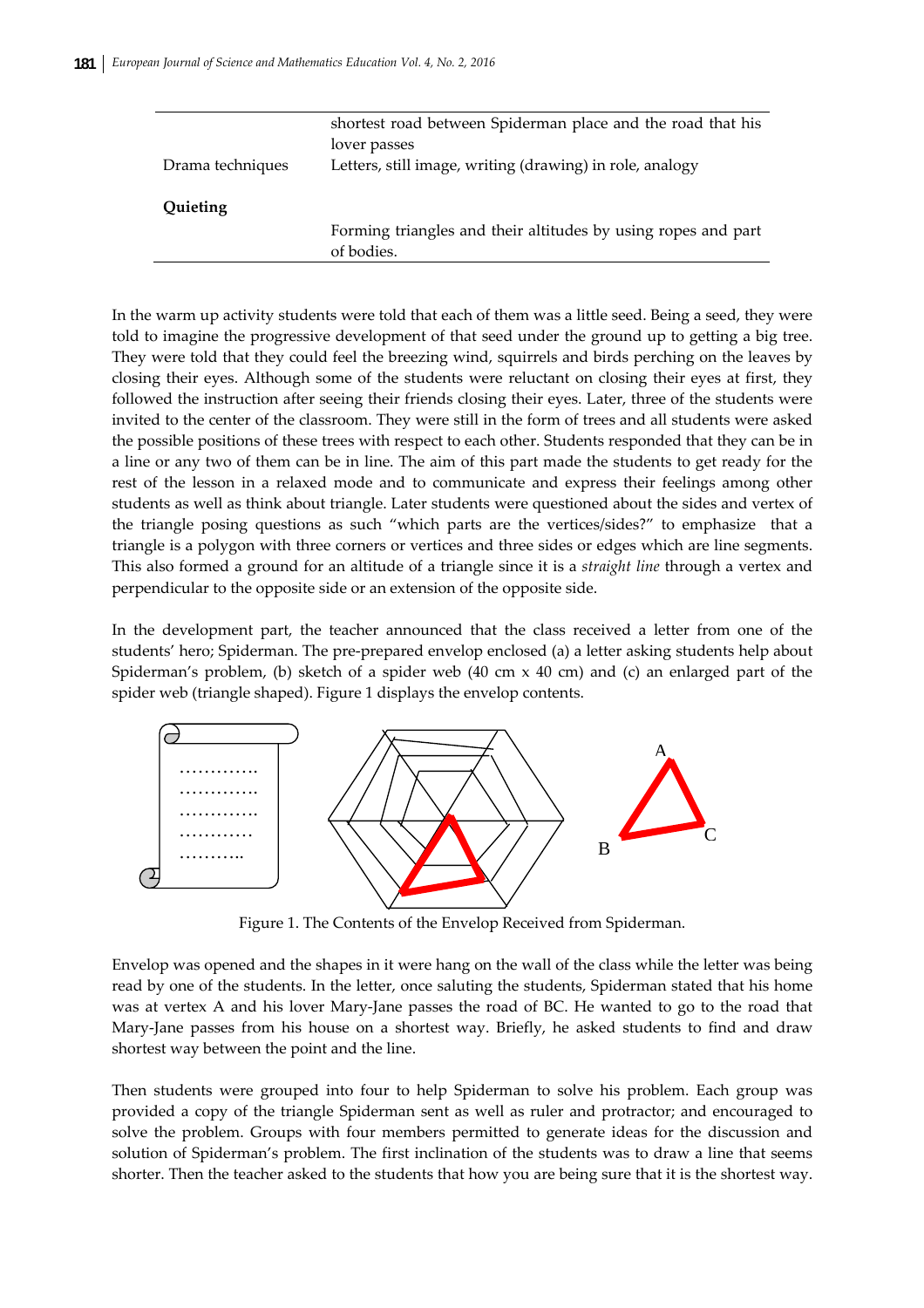|                  | shortest road between Spiderman place and the road that his   |
|------------------|---------------------------------------------------------------|
|                  | lover passes                                                  |
| Drama techniques | Letters, still image, writing (drawing) in role, analogy      |
|                  |                                                               |
| Quieting         |                                                               |
|                  | Forming triangles and their altitudes by using ropes and part |
|                  | of bodies.                                                    |

In the warm up activity students were told that each of them was a little seed. Being a seed, they were told to imagine the progressive development of that seed under the ground up to getting a big tree. They were told that they could feel the breezing wind, squirrels and birds perching on the leaves by closing their eyes. Although some of the students were reluctant on closing their eyes at first, they followed the instruction after seeing their friends closing their eyes. Later, three of the students were invited to the center of the classroom. They were still in the form of trees and all students were asked the possible positions of these trees with respect to each other. Students responded that they can be in a line or any two of them can be in line. The aim of this part made the students to get ready for the rest of the lesson in a relaxed mode and to communicate and express their feelings among other students as well as think about triangle. Later students were questioned about the sides and vertex of the triangle posing questions as such "which parts are the vertices/sides?" to emphasize that a triangle is a polygon with three corners or vertices and three sides or edges which are line segments. This also formed a ground for an altitude of a triangle since it is a *straight line* through a vertex and perpendicular to the opposite side or an extension of the opposite side.

In the development part, the teacher announced that the class received a letter from one of the students' hero; Spiderman. The pre‐prepared envelop enclosed (a) a letter asking students help about Spiderman's problem, (b) sketch of a spider web  $(40 \text{ cm} \times 40 \text{ cm})$  and (c) an enlarged part of the spider web (triangle shaped). Figure 1 displays the envelop contents.



Figure 1. The Contents of the Envelop Received from Spiderman.

Envelop was opened and the shapes in it were hang on the wall of the class while the letter was being read by one of the students. In the letter, once saluting the students, Spiderman stated that his home was at vertex A and his lover Mary-Jane passes the road of BC. He wanted to go to the road that Mary-Jane passes from his house on a shortest way. Briefly, he asked students to find and draw shortest way between the point and the line.

Then students were grouped into four to help Spiderman to solve his problem. Each group was provided a copy of the triangle Spiderman sent as well as ruler and protractor; and encouraged to solve the problem. Groups with four members permitted to generate ideas for the discussion and solution of Spiderman's problem. The first inclination of the students was to draw a line that seems shorter. Then the teacher asked to the students that how you are being sure that it is the shortest way.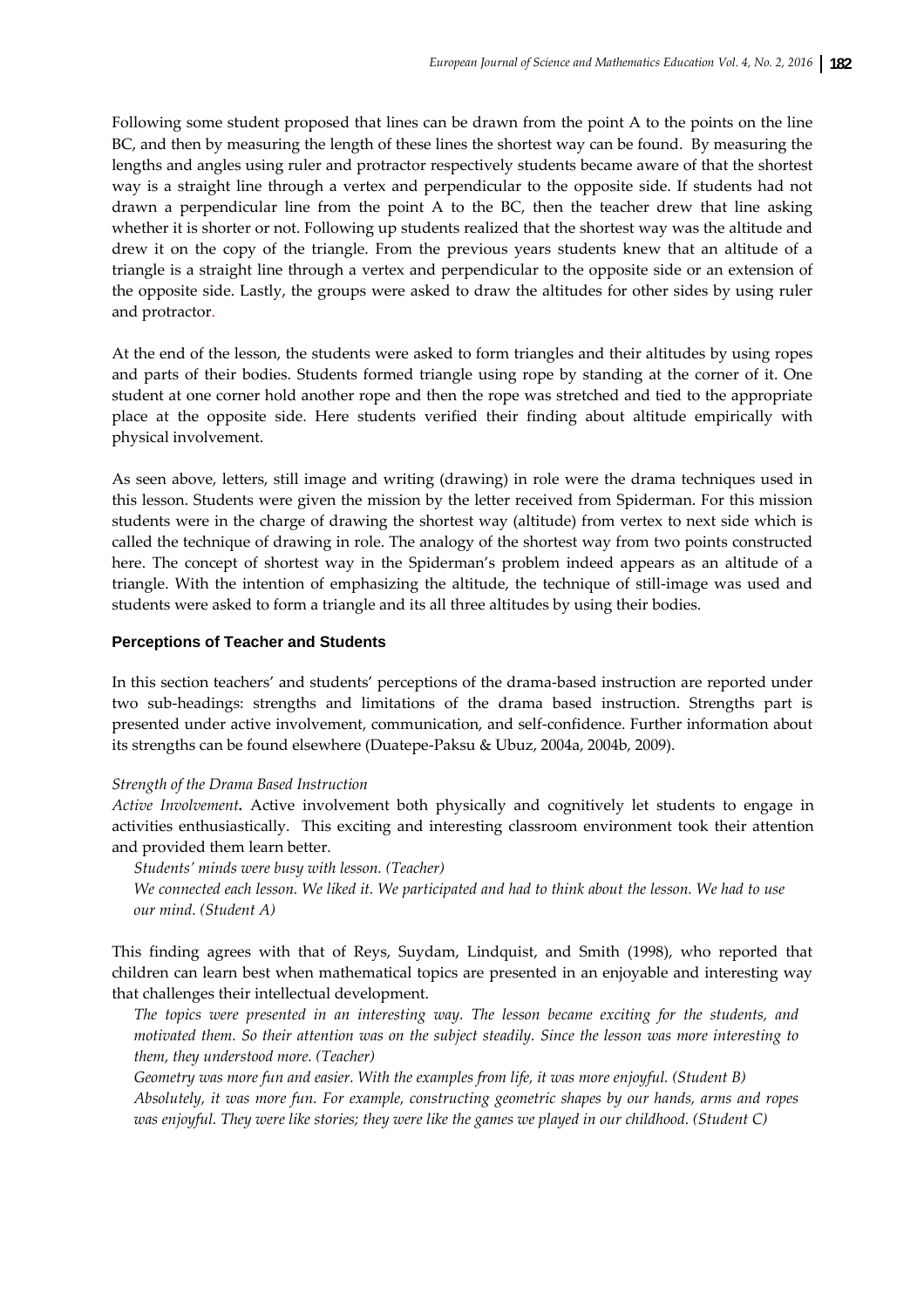Following some student proposed that lines can be drawn from the point A to the points on the line BC, and then by measuring the length of these lines the shortest way can be found. By measuring the lengths and angles using ruler and protractor respectively students became aware of that the shortest way is a straight line through a vertex and perpendicular to the opposite side. If students had not drawn a perpendicular line from the point A to the BC, then the teacher drew that line asking whether it is shorter or not. Following up students realized that the shortest way was the altitude and drew it on the copy of the triangle. From the previous years students knew that an altitude of a triangle is a straight line through a vertex and perpendicular to the opposite side or an extension of the opposite side. Lastly, the groups were asked to draw the altitudes for other sides by using ruler and protractor.

At the end of the lesson, the students were asked to form triangles and their altitudes by using ropes and parts of their bodies. Students formed triangle using rope by standing at the corner of it. One student at one corner hold another rope and then the rope was stretched and tied to the appropriate place at the opposite side. Here students verified their finding about altitude empirically with physical involvement.

As seen above, letters, still image and writing (drawing) in role were the drama techniques used in this lesson. Students were given the mission by the letter received from Spiderman. For this mission students were in the charge of drawing the shortest way (altitude) from vertex to next side which is called the technique of drawing in role. The analogy of the shortest way from two points constructed here. The concept of shortest way in the Spiderman's problem indeed appears as an altitude of a triangle. With the intention of emphasizing the altitude, the technique of still-image was used and students were asked to form a triangle and its all three altitudes by using their bodies.

## **Perceptions of Teacher and Students**

In this section teachers' and students' perceptions of the drama-based instruction are reported under two sub‐headings: strengths and limitations of the drama based instruction. Strengths part is presented under active involvement, communication, and self‐confidence. Further information about its strengths can be found elsewhere (Duatepe‐Paksu & Ubuz, 2004a, 2004b, 2009).

## *Strength of the Drama Based Instruction*

*Active Involvement.* Active involvement both physically and cognitively let students to engage in activities enthusiastically. This exciting and interesting classroom environment took their attention and provided them learn better.

*Students' minds were busy with lesson. (Teacher)*

We connected each lesson. We liked it. We participated and had to think about the lesson. We had to use *our mind. (Student A)*

This finding agrees with that of Reys, Suydam, Lindquist, and Smith (1998), who reported that children can learn best when mathematical topics are presented in an enjoyable and interesting way that challenges their intellectual development.

*The topics were presented in an interesting way. The lesson became exciting for the students, and motivated them. So their attention was on the subject steadily. Since the lesson was more interesting to them, they understood more. (Teacher)* 

*Geometry was more fun and easier. With the examples from life, it was more enjoyful. (Student B) Absolutely, it was more fun. For example, constructing geometric shapes by our hands, arms and ropes* was enjoyful. They were like stories; they were like the games we played in our childhood. (Student C)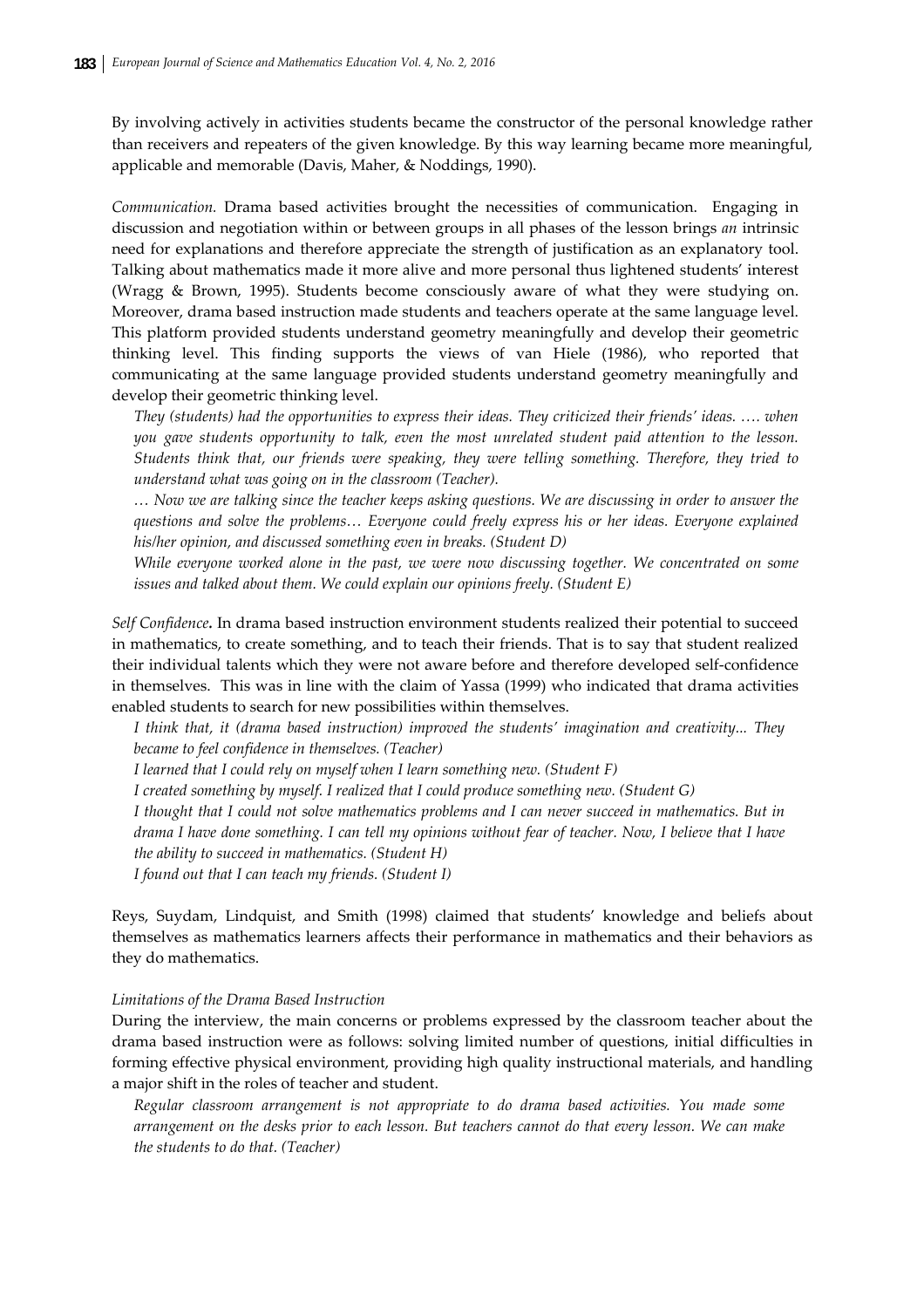By involving actively in activities students became the constructor of the personal knowledge rather than receivers and repeaters of the given knowledge. By this way learning became more meaningful, applicable and memorable (Davis, Maher, & Noddings, 1990).

*Communication.* Drama based activities brought the necessities of communication. Engaging in discussion and negotiation within or between groups in all phases of the lesson brings *an* intrinsic need for explanations and therefore appreciate the strength of justification as an explanatory tool. Talking about mathematics made it more alive and more personal thus lightened students' interest (Wragg & Brown, 1995). Students become consciously aware of what they were studying on. Moreover, drama based instruction made students and teachers operate at the same language level. This platform provided students understand geometry meaningfully and develop their geometric thinking level. This finding supports the views of van Hiele (1986), who reported that communicating at the same language provided students understand geometry meaningfully and develop their geometric thinking level.

*They (students) had the opportunities to express their ideas. They criticized their friends' ideas. …. when you gave students opportunity to talk, even the most unrelated student paid attention to the lesson. Students think that, our friends were speaking, they were telling something. Therefore, they tried to understand what was going on in the classroom (Teacher).* 

... Now we are talking since the teacher keeps asking questions. We are discussing in order to answer the *questions and solve the problems… Everyone could freely express his or her ideas. Everyone explained his/her opinion, and discussed something even in breaks. (Student D)* 

*While everyone worked alone in the past, we were now discussing together. We concentrated on some issues and talked about them. We could explain our opinions freely. (Student E)*

*Self Confidence.* In drama based instruction environment students realized their potential to succeed in mathematics, to create something, and to teach their friends. That is to say that student realized their individual talents which they were not aware before and therefore developed self‐confidence in themselves. This was in line with the claim of Yassa (1999) who indicated that drama activities enabled students to search for new possibilities within themselves.

*I think that, it (drama based instruction) improved the students' imagination and creativity... They became to feel confidence in themselves. (Teacher)*

*I learned that I could rely on myself when I learn something new. (Student F)*

*I created something by myself. I realized that I could produce something new. (Student G)* 

I thought that I could not solve mathematics problems and I can never succeed in mathematics. But in drama I have done something. I can tell my opinions without fear of teacher. Now, I believe that I have

*the ability to succeed in mathematics. (Student H)*

*I found out that I can teach my friends. (Student I)*

Reys, Suydam, Lindquist, and Smith (1998) claimed that students' knowledge and beliefs about themselves as mathematics learners affects their performance in mathematics and their behaviors as they do mathematics.

## *Limitations of the Drama Based Instruction*

During the interview, the main concerns or problems expressed by the classroom teacher about the drama based instruction were as follows: solving limited number of questions, initial difficulties in forming effective physical environment, providing high quality instructional materials, and handling a major shift in the roles of teacher and student.

*Regular classroom arrangement is not appropriate to do drama based activities. You made some* arrangement on the desks prior to each lesson. But teachers cannot do that every lesson. We can make *the students to do that. (Teacher)*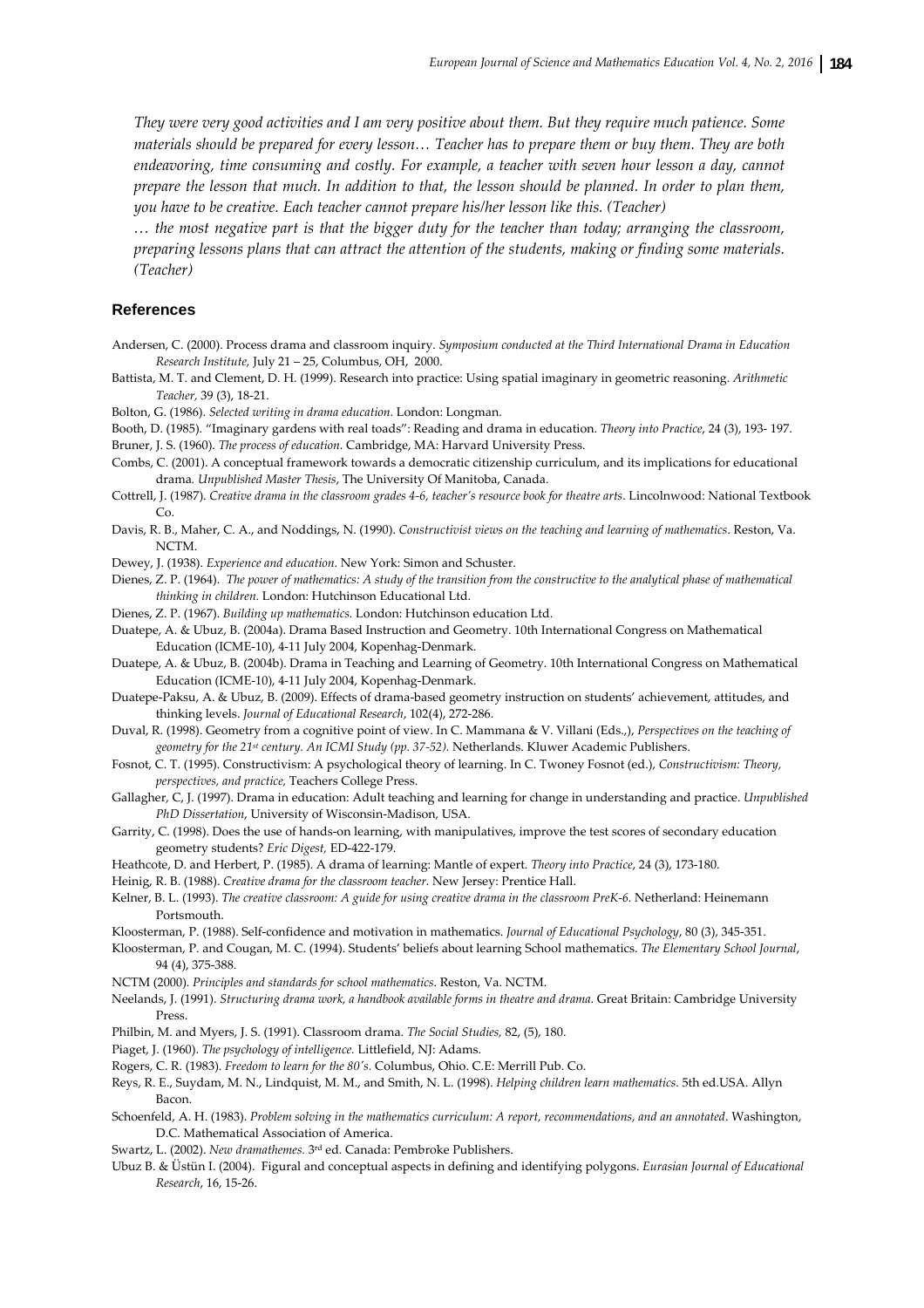They were very good activities and I am very positive about them. But they require much patience. Some materials should be prepared for every lesson... Teacher has to prepare them or buy them. They are both *endeavoring, time consuming and costly. For example, a teacher with seven hour lesson a day, cannot* prepare the lesson that much. In addition to that, the lesson should be planned. In order to plan them, *you have to be creative. Each teacher cannot prepare his/her lesson like this. (Teacher)*

... the most negative part is that the bigger duty for the teacher than today; arranging the classroom, *preparing lessons plans that can attract the attention of the students, making or finding some materials. (Teacher)*

#### **References**

- Andersen, C. (2000). Process drama and classroom inquiry. *Symposium conducted at the Third International Drama in Education Research Institute,* July 21 – 25, Columbus, OH, 2000.
- Battista, M. T. and Clement, D. H. (1999). Research into practice: Using spatial imaginary in geometric reasoning. *Arithmetic Teacher,* 39 (3), 18‐21.

Bolton, G. (1986). *Selected writing in drama education.* London: Longman.

Booth, D. (1985). "Imaginary gardens with real toads": Reading and drama in education. *Theory into Practice*, 24 (3), 193‐ 197.

Bruner, J. S. (1960). *The process of education.* Cambridge, MA: Harvard University Press.

- Combs, C. (2001). A conceptual framework towards a democratic citizenship curriculum, and its implications for educational drama*. Unpublished Master Thesis*, The University Of Manitoba, Canada.
- Cottrell, J. (1987). Creative drama in the classroom grades 4-6, teacher's resource book for theatre arts. Lincolnwood: National Textbook Co.
- Davis, R. B., Maher, C. A., and Noddings, N. (1990). *Constructivist views on the teaching and learning of mathematics*. Reston, Va. NCTM.

Dewey, J. (1938). *Experience and education.* New York: Simon and Schuster.

- Dienes, Z. P. (1964). The power of mathematics: A study of the transition from the constructive to the analytical phase of mathematical *thinking in children.* London: Hutchinson Educational Ltd.
- Dienes, Z. P. (1967). *Building up mathematics.* London: Hutchinson education Ltd.
- Duatepe, A. & Ubuz, B. (2004a). Drama Based Instruction and Geometry. 10th International Congress on Mathematical Education (ICME‐10), 4‐11 July 2004, Kopenhag‐Denmark.

Duatepe, A. & Ubuz, B. (2004b). Drama in Teaching and Learning of Geometry. 10th International Congress on Mathematical Education (ICME‐10), 4‐11 July 2004, Kopenhag‐Denmark.

- Duatepe‐Paksu, A. & Ubuz, B. (2009). Effects of drama‐based geometry instruction on students' achievement, attitudes, and thinking levels. *Journal of Educational Research*, 102(4), 272‐286.
- Duval, R. (1998). Geometry from a cognitive point of view. In C. Mammana & V. Villani (Eds.,), *Perspectives on the teaching of geometry for the 21st century. An ICMI Study (pp. 37‐52).* Netherlands. Kluwer Academic Publishers.
- Fosnot, C. T. (1995). Constructivism: A psychological theory of learning. In C. Twoney Fosnot (ed.), *Constructivism: Theory, perspectives, and practice,* Teachers College Press.
- Gallagher, C, J. (1997). Drama in education: Adult teaching and learning for change in understanding and practice. *Unpublished PhD Dissertation*, University of Wisconsin‐Madison, USA.
- Garrity, C. (1998). Does the use of hands‐on learning, with manipulatives, improve the test scores of secondary education geometry students? *Eric Digest,* ED‐422‐179.
- Heathcote, D. and Herbert, P. (1985). A drama of learning: Mantle of expert. *Theory into Practice*, 24 (3), 173‐180.
- Heinig, R. B. (1988). *Creative drama for the classroom teacher.* New Jersey: Prentice Hall.
- Kelner, B. L. (1993). The creative classroom: A guide for using creative drama in the classroom PreK-6. Netherland: Heinemann Portsmouth.
- Kloosterman, P. (1988). Self‐confidence and motivation in mathematics. *Journal of Educational Psychology*, 80 (3), 345‐351.
- Kloosterman, P. and Cougan, M. C. (1994). Students' beliefs about learning School mathematics. *The Elementary School Journal*, 94 (4), 375‐388.
- NCTM (2000). *Principles and standards for school mathematics*. Reston, Va. NCTM.
- Neelands, J. (1991). *Structuring drama work, a handbook available forms in theatre and drama*. Great Britain: Cambridge University Press.
- Philbin, M. and Myers, J. S. (1991). Classroom drama. *The Social Studies,* 82, (5), 180.
- Piaget, J. (1960). *The psychology of intelligence.* Littlefield, NJ: Adams.
- Rogers, C. R. (1983). *Freedom to learn for the 80ʹs.* Columbus, Ohio. C.E: Merrill Pub. Co.
- Reys, R. E., Suydam, M. N., Lindquist, M. M., and Smith, N. L. (1998). *Helping children learn mathematics*. 5th ed.USA. Allyn Bacon.
- Schoenfeld, A. H. (1983). *Problem solving in the mathematics curriculum: A report, recommendations, and an annotated*. Washington, D.C. Mathematical Association of America.
- Swartz, L. (2002). *New dramathemes.* 3rd ed. Canada: Pembroke Publishers.
- Ubuz B. & Üstün I. (2004). Figural and conceptual aspects in defining and identifying polygons. *Eurasian Journal of Educational Research*, 16, 15‐26.